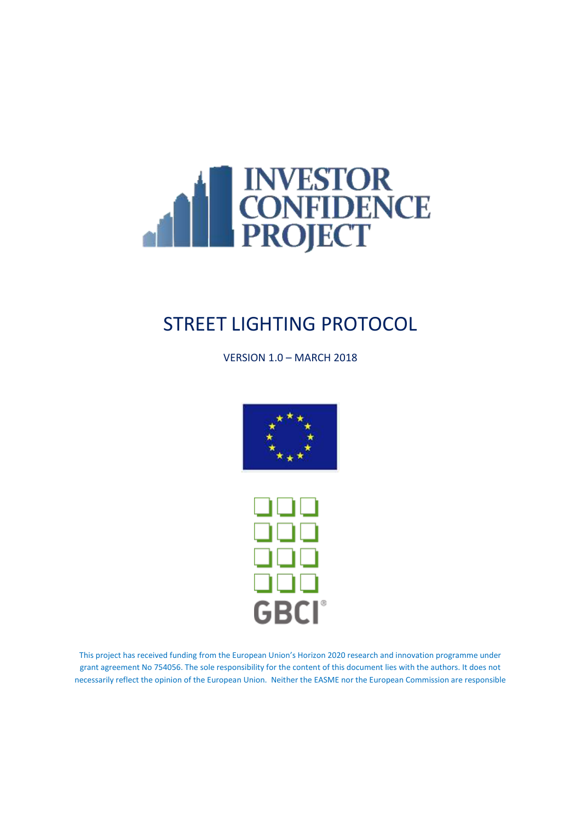

VERSION 1.0 – MARCH 2018





This project has received funding from the European Union's Horizon 2020 research and innovation programme under grant agreement No 754056. The sole responsibility for the content of this document lies with the authors. It does not necessarily reflect the opinion of the European Union. Neither the EASME nor the European Commission are responsible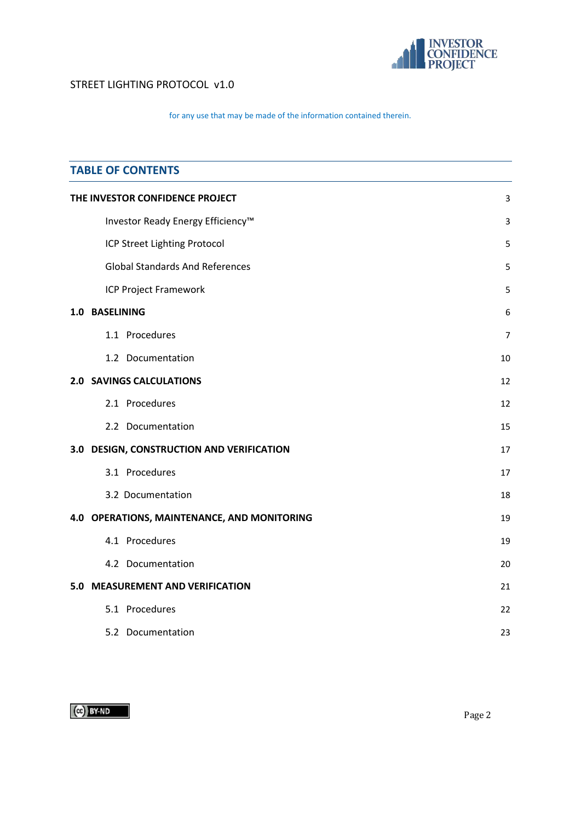

## for any use that may be made of the information contained therein.

| <b>TABLE OF CONTENTS</b>                    |                |  |  |
|---------------------------------------------|----------------|--|--|
| THE INVESTOR CONFIDENCE PROJECT             | 3              |  |  |
| Investor Ready Energy Efficiency™           | 3              |  |  |
| ICP Street Lighting Protocol                | 5              |  |  |
| <b>Global Standards And References</b>      | 5              |  |  |
| <b>ICP Project Framework</b>                | 5              |  |  |
| 1.0 BASELINING                              | 6              |  |  |
| 1.1 Procedures                              | $\overline{7}$ |  |  |
| 1.2 Documentation                           | 10             |  |  |
| <b>2.0 SAVINGS CALCULATIONS</b>             | 12             |  |  |
| 2.1 Procedures                              | 12             |  |  |
| 2.2 Documentation                           | 15             |  |  |
| 3.0 DESIGN, CONSTRUCTION AND VERIFICATION   | 17             |  |  |
| 3.1 Procedures                              | 17             |  |  |
| 3.2 Documentation                           | 18             |  |  |
| 4.0 OPERATIONS, MAINTENANCE, AND MONITORING | 19             |  |  |
| 4.1 Procedures                              | 19             |  |  |
| 4.2 Documentation                           | 20             |  |  |
| 5.0 MEASUREMENT AND VERIFICATION            | 21             |  |  |
| 5.1 Procedures                              | 22             |  |  |
| 5.2 Documentation                           | 23             |  |  |

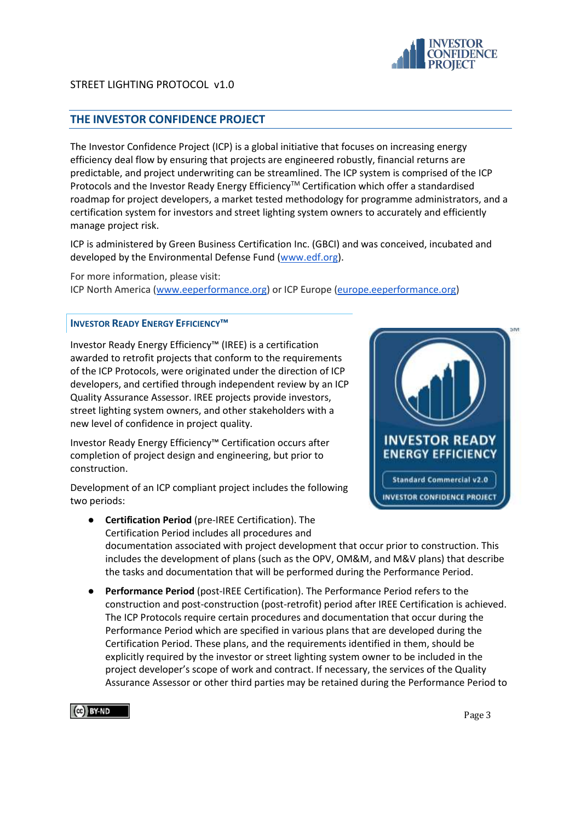

# <span id="page-2-0"></span>**THE INVESTOR CONFIDENCE PROJECT**

The Investor Confidence Project (ICP) is a global initiative that focuses on increasing energy efficiency deal flow by ensuring that projects are engineered robustly, financial returns are predictable, and project underwriting can be streamlined. The ICP system is comprised of the ICP Protocols and the Investor Ready Energy Efficiency™ Certification which offer a standardised roadmap for project developers, a market tested methodology for programme administrators, and a certification system for investors and street lighting system owners to accurately and efficiently manage project risk.

ICP is administered by Green Business Certification Inc. (GBCI) and was conceived, incubated and developed by the Environmental Defense Fund [\(www.edf.org\)](http://www.edf.org/).

For more information, please visit: ICP North America [\(www.eeperformance.org\)](http://www.eeperformance.org/) or ICP Europe [\(europe.eeperformance.org\)](http://europe.eeperformance.org/)

#### <span id="page-2-1"></span>**INVESTOR READY ENERGY EFFICIENCY™**

Investor Ready Energy Efficiency™ (IREE) is a certification awarded to retrofit projects that conform to the requirements of the ICP Protocols, were originated under the direction of ICP developers, and certified through independent review by an ICP Quality Assurance Assessor. IREE projects provide investors, street lighting system owners, and other stakeholders with a new level of confidence in project quality.

Investor Ready Energy Efficiency™ Certification occurs after completion of project design and engineering, but prior to construction.

Development of an ICP compliant project includes the following two periods:



- **Certification Period** (pre-IREE Certification). The Certification Period includes all procedures and documentation associated with project development that occur prior to construction. This includes the development of plans (such as the OPV, OM&M, and M&V plans) that describe the tasks and documentation that will be performed during the Performance Period.
- Performance Period (post-IREE Certification). The Performance Period refers to the construction and post-construction (post-retrofit) period after IREE Certification is achieved. The ICP Protocols require certain procedures and documentation that occur during the Performance Period which are specified in various plans that are developed during the Certification Period. These plans, and the requirements identified in them, should be explicitly required by the investor or street lighting system owner to be included in the project developer's scope of work and contract. If necessary, the services of the Quality Assurance Assessor or other third parties may be retained during the Performance Period to



Page 3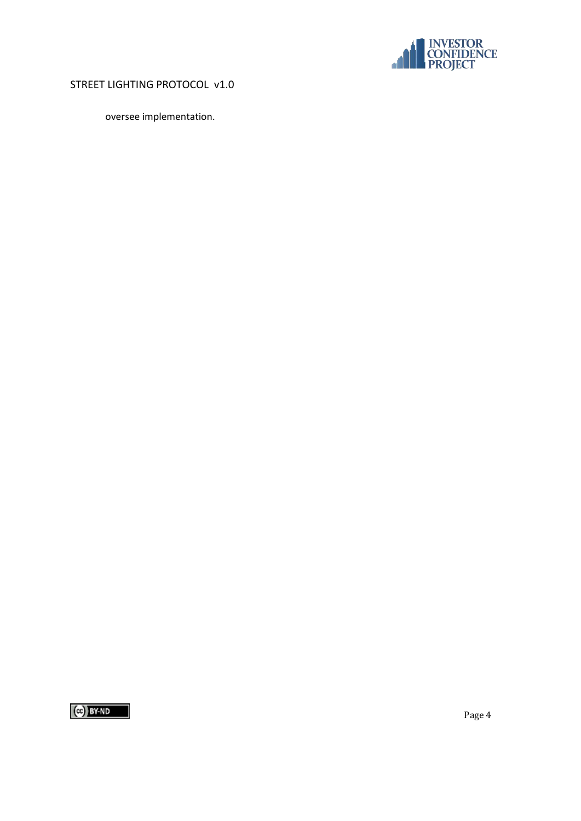

oversee implementation.

 $(c)$  BY-ND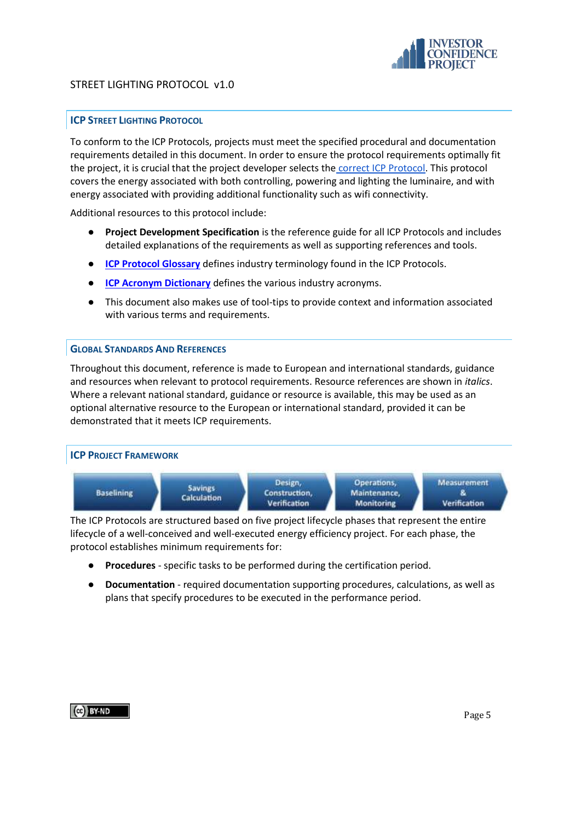

# <span id="page-4-0"></span>**ICP STREET LIGHTING PROTOCOL**

To conform to the ICP Protocols, projects must meet the specified procedural and documentation requirements detailed in this document. In order to ensure the protocol requirements optimally fit the project, it is crucial that the project developer selects the [correct ICP Protocol.](http://europe.eeperformance.org/projects.html) This protocol covers the energy associated with both controlling, powering and lighting the luminaire, and with energy associated with providing additional functionality such as wifi connectivity.

Additional resources to this protocol include:

- **Project Development Specification** is the reference guide for all ICP Protocols and includes detailed explanations of the requirements as well as supporting references and tools.
- **[ICP Protocol Glossary](https://docs.google.com/a/sevengenergy.com/document/d/1YjnIs-4VfU0T8OBe8O2vA003Vn7k5JQOG2p9Y_34seo/edit?usp=sharing)** defines industry terminology found in the ICP Protocols.
- **[ICP Acronym Dictionary](http://www.eeperformance.org/acronyms.html)** defines the various industry acronyms.
- This document also makes use of tool-tips to provide context and information associated with various terms and requirements.

#### <span id="page-4-1"></span>**GLOBAL STANDARDS AND REFERENCES**

Throughout this document, reference is made to European and international standards, guidance and resources when relevant to protocol requirements. Resource references are shown in *italics*. Where a relevant national standard, guidance or resource is available, this may be used as an optional alternative resource to the European or international standard, provided it can be demonstrated that it meets ICP requirements.

<span id="page-4-2"></span>

The ICP Protocols are structured based on five project lifecycle phases that represent the entire lifecycle of a well-conceived and well-executed energy efficiency project. For each phase, the protocol establishes minimum requirements for:

- **Procedures** specific tasks to be performed during the certification period.
- **Documentation** required documentation supporting procedures, calculations, as well as plans that specify procedures to be executed in the performance period.

## CG BY-ND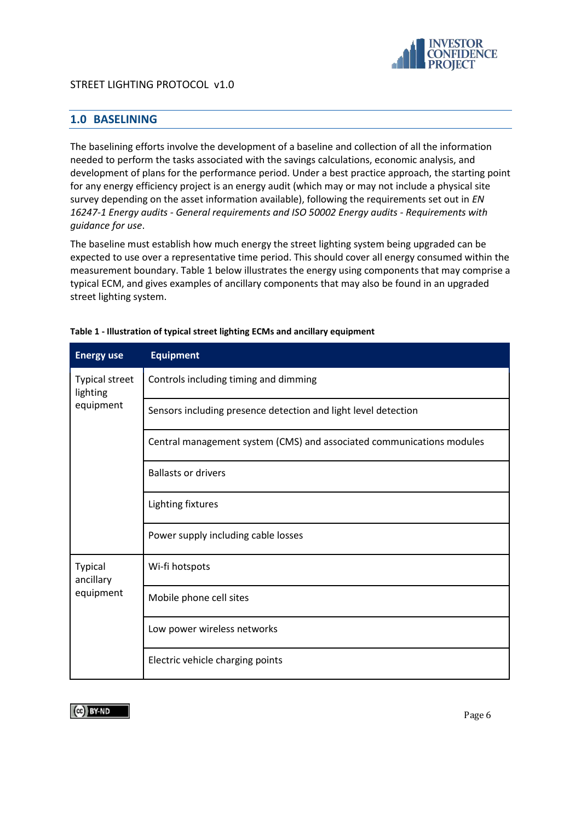

# <span id="page-5-0"></span>**1.0 BASELINING**

The baselining efforts involve the development of a baseline and collection of all the information needed to perform the tasks associated with the savings calculations, economic analysis, and development of plans for the performance period. Under a best practice approach, the starting point for any energy efficiency project is an energy audit (which may or may not include a physical site survey depending on the asset information available), following the requirements set out in *EN 16247-1 Energy audits - General requirements and ISO 50002 Energy audits - Requirements with guidance for use*.

The baseline must establish how much energy the street lighting system being upgraded can be expected to use over a representative time period. This should cover all energy consumed within the measurement boundary. Table 1 below illustrates the energy using components that may comprise a typical ECM, and gives examples of ancillary components that may also be found in an upgraded street lighting system.

| <b>Energy use</b>                 | <b>Equipment</b>                                                      |
|-----------------------------------|-----------------------------------------------------------------------|
| <b>Typical street</b><br>lighting | Controls including timing and dimming                                 |
| equipment                         | Sensors including presence detection and light level detection        |
|                                   | Central management system (CMS) and associated communications modules |
|                                   | <b>Ballasts or drivers</b>                                            |
|                                   | Lighting fixtures                                                     |
|                                   | Power supply including cable losses                                   |
| <b>Typical</b><br>ancillary       | Wi-fi hotspots                                                        |
| equipment                         | Mobile phone cell sites                                               |
|                                   | Low power wireless networks                                           |
|                                   | Electric vehicle charging points                                      |

#### **Table 1 - Illustration of typical street lighting ECMs and ancillary equipment**

 $\left[\begin{matrix} 60 \\ 401 \end{matrix}\right]$  BY-ND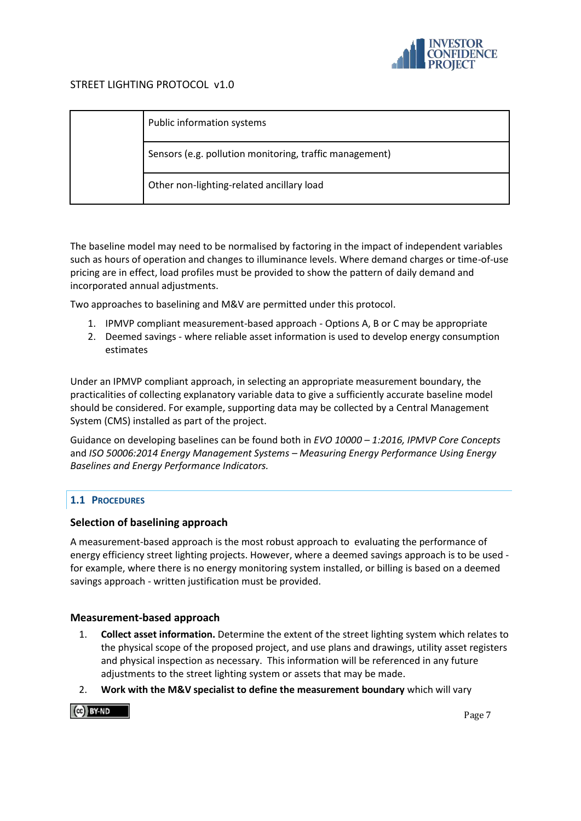

| Public information systems                              |
|---------------------------------------------------------|
| Sensors (e.g. pollution monitoring, traffic management) |
| Other non-lighting-related ancillary load               |

The baseline model may need to be normalised by factoring in the impact of independent variables such as hours of operation and changes to illuminance levels. Where demand charges or time-of-use pricing are in effect, load profiles must be provided to show the pattern of daily demand and incorporated annual adjustments.

Two approaches to baselining and M&V are permitted under this protocol.

- 1. IPMVP compliant measurement-based approach Options A, B or C may be appropriate
- 2. Deemed savings where reliable asset information is used to develop energy consumption estimates

Under an IPMVP compliant approach, in selecting an appropriate measurement boundary, the practicalities of collecting explanatory variable data to give a sufficiently accurate baseline model should be considered. For example, supporting data may be collected by a Central Management System (CMS) installed as part of the project.

Guidance on developing baselines can be found both in *EVO 10000 – 1:2016, IPMVP Core Concepts* and *ISO 50006:2014 Energy Management Systems – Measuring Energy Performance Using Energy Baselines and Energy Performance Indicators.*

## <span id="page-6-0"></span>**1.1 PROCEDURES**

## **Selection of baselining approach**

A measurement-based approach is the most robust approach to evaluating the performance of energy efficiency street lighting projects. However, where a deemed savings approach is to be used for example, where there is no energy monitoring system installed, or billing is based on a deemed savings approach - written justification must be provided.

## **Measurement-based approach**

- 1. **Collect asset information.** Determine the extent of the street lighting system which relates to the physical scope of the proposed project, and use plans and drawings, utility asset registers and physical inspection as necessary. This information will be referenced in any future adjustments to the street lighting system or assets that may be made.
- 2. **Work with the M&V specialist to define the measurement boundary** which will vary

 $\left[\begin{smallmatrix} 60 \\ 40 \end{smallmatrix}\right]$  BY-ND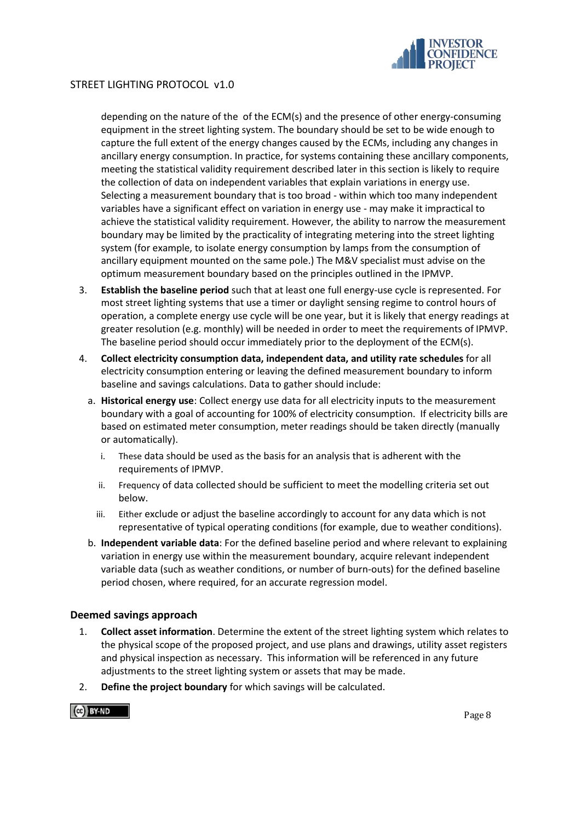

depending on the nature of the of the ECM(s) and the presence of other energy-consuming equipment in the street lighting system. The boundary should be set to be wide enough to capture the full extent of the energy changes caused by the ECMs, including any changes in ancillary energy consumption. In practice, for systems containing these ancillary components, meeting the statistical validity requirement described later in this section is likely to require the collection of data on independent variables that explain variations in energy use. Selecting a measurement boundary that is too broad - within which too many independent variables have a significant effect on variation in energy use - may make it impractical to achieve the statistical validity requirement. However, the ability to narrow the measurement boundary may be limited by the practicality of integrating metering into the street lighting system (for example, to isolate energy consumption by lamps from the consumption of ancillary equipment mounted on the same pole.) The M&V specialist must advise on the optimum measurement boundary based on the principles outlined in the IPMVP.

- 3. **Establish the baseline period** such that at least one full energy-use cycle is represented. For most street lighting systems that use a timer or daylight sensing regime to control hours of operation, a complete energy use cycle will be one year, but it is likely that energy readings at greater resolution (e.g. monthly) will be needed in order to meet the requirements of IPMVP. The baseline period should occur immediately prior to the deployment of the ECM(s).
- 4. **Collect electricity consumption data, independent data, and utility rate schedules** for all electricity consumption entering or leaving the defined measurement boundary to inform baseline and savings calculations. Data to gather should include:
	- a. **Historical energy use**: Collect energy use data for all electricity inputs to the measurement boundary with a goal of accounting for 100% of electricity consumption. If electricity bills are based on estimated meter consumption, meter readings should be taken directly (manually or automatically).
		- i. These data should be used as the basis for an analysis that is adherent with the requirements of IPMVP.
		- ii. Frequency of data collected should be sufficient to meet the modelling criteria set out below.
		- iii. Either exclude or adjust the baseline accordingly to account for any data which is not representative of typical operating conditions (for example, due to weather conditions).
	- b. **Independent variable data**: For the defined baseline period and where relevant to explaining variation in energy use within the measurement boundary, acquire relevant independent variable data (such as weather conditions, or number of burn-outs) for the defined baseline period chosen, where required, for an accurate regression model.

## **Deemed savings approach**

- 1. **Collect asset information**. Determine the extent of the street lighting system which relates to the physical scope of the proposed project, and use plans and drawings, utility asset registers and physical inspection as necessary. This information will be referenced in any future adjustments to the street lighting system or assets that may be made.
- 2. **Define the project boundary** for which savings will be calculated.

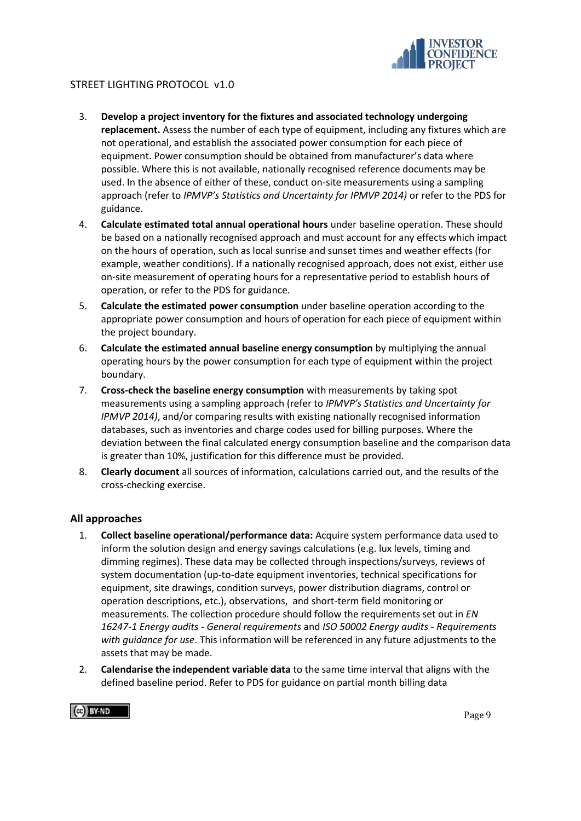

- 3. **Develop a project inventory for the fixtures and associated technology undergoing replacement.** Assess the number of each type of equipment, including any fixtures which are not operational, and establish the associated power consumption for each piece of equipment. Power consumption should be obtained from manufacturer's data where possible. Where this is not available, nationally recognised reference documents may be used. In the absence of either of these, conduct on-site measurements using a sampling approach (refer to *IPMVP's Statistics and Uncertainty for IPMVP 2014)* or refer to the PDS for guidance.
- 4. **Calculate estimated total annual operational hours** under baseline operation. These should be based on a nationally recognised approach and must account for any effects which impact on the hours of operation, such as local sunrise and sunset times and weather effects (for example, weather conditions). If a nationally recognised approach, does not exist, either use on-site measurement of operating hours for a representative period to establish hours of operation, or refer to the PDS for guidance.
- 5. **Calculate the estimated power consumption** under baseline operation according to the appropriate power consumption and hours of operation for each piece of equipment within the project boundary.
- 6. **Calculate the estimated annual baseline energy consumption** by multiplying the annual operating hours by the power consumption for each type of equipment within the project boundary.
- 7. **Cross-check the baseline energy consumption** with measurements by taking spot measurements using a sampling approach (refer to *IPMVP's Statistics and Uncertainty for IPMVP 2014)*, and/or comparing results with existing nationally recognised information databases, such as inventories and charge codes used for billing purposes. Where the deviation between the final calculated energy consumption baseline and the comparison data is greater than 10%, justification for this difference must be provided.
- 8. **Clearly document** all sources of information, calculations carried out, and the results of the cross-checking exercise.

## **All approaches**

- 1. **Collect baseline operational/performance data:** Acquire system performance data used to inform the solution design and energy savings calculations (e.g. lux levels, timing and dimming regimes). These data may be collected through inspections/surveys, reviews of system documentation (up-to-date equipment inventories, technical specifications for equipment, site drawings, condition surveys, power distribution diagrams, control or operation descriptions, etc.), observations, and short-term field monitoring or measurements. The collection procedure should follow the requirements set out in *EN 16247-1 Energy audits - General requirements* and *ISO 50002 Energy audits - Requirements with guidance for use*. This information will be referenced in any future adjustments to the assets that may be made.
- 2. **Calendarise the independent variable data** to the same time interval that aligns with the defined baseline period. Refer to PDS for guidance on partial month billing data



Page 9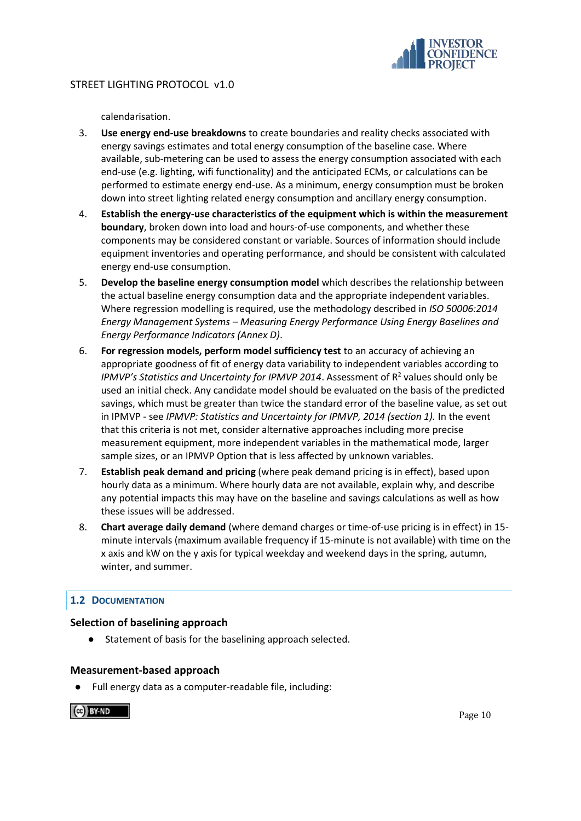

calendarisation.

- 3. **Use energy end-use breakdowns** to create boundaries and reality checks associated with energy savings estimates and total energy consumption of the baseline case. Where available, sub-metering can be used to assess the energy consumption associated with each end-use (e.g. lighting, wifi functionality) and the anticipated ECMs, or calculations can be performed to estimate energy end-use. As a minimum, energy consumption must be broken down into street lighting related energy consumption and ancillary energy consumption.
- 4. **Establish the energy-use characteristics of the equipment which is within the measurement boundary**, broken down into load and hours-of-use components, and whether these components may be considered constant or variable. Sources of information should include equipment inventories and operating performance, and should be consistent with calculated energy end-use consumption.
- 5. **Develop the baseline energy consumption model** which describes the relationship between the actual baseline energy consumption data and the appropriate independent variables. Where regression modelling is required, use the methodology described in *ISO 50006:2014 Energy Management Systems – Measuring Energy Performance Using Energy Baselines and Energy Performance Indicators (Annex D)*.
- 6. **For regression models, perform model sufficiency test** to an accuracy of achieving an appropriate goodness of fit of energy data variability to independent variables according to IPMVP's Statistics and Uncertainty for IPMVP 2014. Assessment of R<sup>2</sup> values should only be used an initial check. Any candidate model should be evaluated on the basis of the predicted savings, which must be greater than twice the standard error of the baseline value, as set out in IPMVP - see *IPMVP: Statistics and Uncertainty for IPMVP, 2014 (section 1).* In the event that this criteria is not met, consider alternative approaches including more precise measurement equipment, more independent variables in the mathematical mode, larger sample sizes, or an IPMVP Option that is less affected by unknown variables.
- 7. **Establish peak demand and pricing** (where peak demand pricing is in effect), based upon hourly data as a minimum. Where hourly data are not available, explain why, and describe any potential impacts this may have on the baseline and savings calculations as well as how these issues will be addressed.
- 8. **Chart average daily demand** (where demand charges or time-of-use pricing is in effect) in 15 minute intervals (maximum available frequency if 15-minute is not available) with time on the x axis and kW on the y axis for typical weekday and weekend days in the spring, autumn, winter, and summer.

## <span id="page-9-0"></span>**1.2 DOCUMENTATION**

## **Selection of baselining approach**

● Statement of basis for the baselining approach selected.

## **Measurement-based approach**

Full energy data as a computer-readable file, including:

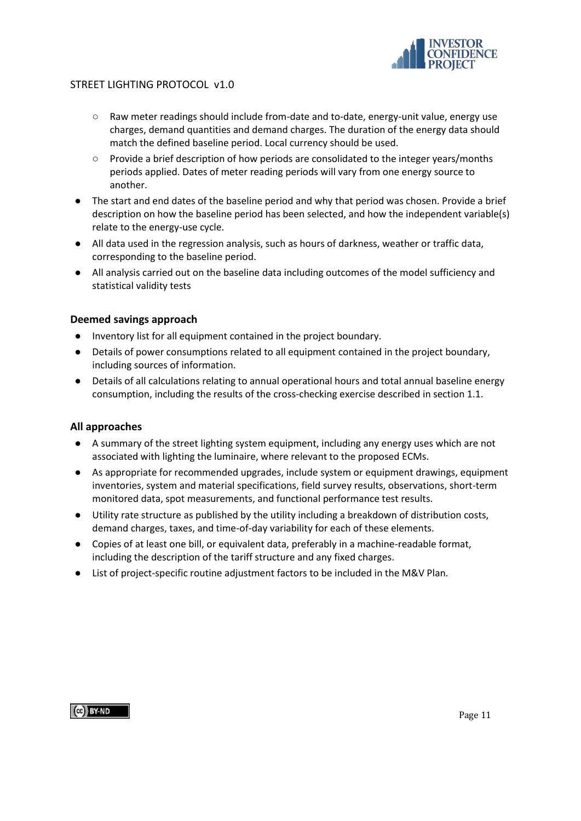

- Raw meter readings should include from-date and to-date, energy-unit value, energy use charges, demand quantities and demand charges. The duration of the energy data should match the defined baseline period. Local currency should be used.
- Provide a brief description of how periods are consolidated to the integer years/months periods applied. Dates of meter reading periods will vary from one energy source to another.
- The start and end dates of the baseline period and why that period was chosen. Provide a brief description on how the baseline period has been selected, and how the independent variable(s) relate to the energy-use cycle.
- All data used in the regression analysis, such as hours of darkness, weather or traffic data, corresponding to the baseline period.
- All analysis carried out on the baseline data including outcomes of the model sufficiency and statistical validity tests

## **Deemed savings approach**

- Inventory list for all equipment contained in the project boundary.
- Details of power consumptions related to all equipment contained in the project boundary, including sources of information.
- Details of all calculations relating to annual operational hours and total annual baseline energy consumption, including the results of the cross-checking exercise described in section 1.1.

## **All approaches**

- A summary of the street lighting system equipment, including any energy uses which are not associated with lighting the luminaire, where relevant to the proposed ECMs.
- As appropriate for recommended upgrades, include system or equipment drawings, equipment inventories, system and material specifications, field survey results, observations, short-term monitored data, spot measurements, and functional performance test results.
- Utility rate structure as published by the utility including a breakdown of distribution costs, demand charges, taxes, and time-of-day variability for each of these elements.
- Copies of at least one bill, or equivalent data, preferably in a machine-readable format, including the description of the tariff structure and any fixed charges.
- List of project-specific routine adjustment factors to be included in the M&V Plan.

 $\left[\begin{smallmatrix}\alpha\end{smallmatrix}\right]$  BY-ND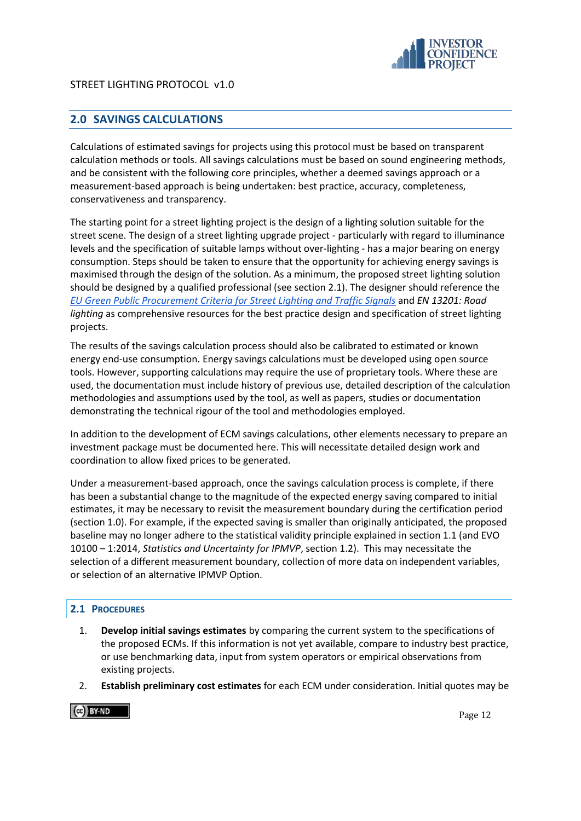

# <span id="page-11-0"></span>**2.0 SAVINGS CALCULATIONS**

Calculations of estimated savings for projects using this protocol must be based on transparent calculation methods or tools. All savings calculations must be based on sound engineering methods, and be consistent with the following core principles, whether a deemed savings approach or a measurement-based approach is being undertaken: best practice, accuracy, completeness, conservativeness and transparency.

The starting point for a street lighting project is the design of a lighting solution suitable for the street scene. The design of a street lighting upgrade project - particularly with regard to illuminance levels and the specification of suitable lamps without over-lighting - has a major bearing on energy consumption. Steps should be taken to ensure that the opportunity for achieving energy savings is maximised through the design of the solution. As a minimum, the proposed street lighting solution should be designed by a qualified professional (see section 2.1). The designer should reference the *[EU Green Public Procurement Criteria for Street Lighting and Traffic Signals](http://publications.jrc.ec.europa.eu/repository/bitstream/JRC106647/pr_final_25.08.2017_sci4_pol.pdf)* and *EN 13201: Road lighting* as comprehensive resources for the best practice design and specification of street lighting projects.

The results of the savings calculation process should also be calibrated to estimated or known energy end-use consumption. Energy savings calculations must be developed using open source tools. However, supporting calculations may require the use of proprietary tools. Where these are used, the documentation must include history of previous use, detailed description of the calculation methodologies and assumptions used by the tool, as well as papers, studies or documentation demonstrating the technical rigour of the tool and methodologies employed.

In addition to the development of ECM savings calculations, other elements necessary to prepare an investment package must be documented here. This will necessitate detailed design work and coordination to allow fixed prices to be generated.

Under a measurement-based approach, once the savings calculation process is complete, if there has been a substantial change to the magnitude of the expected energy saving compared to initial estimates, it may be necessary to revisit the measurement boundary during the certification period (section 1.0). For example, if the expected saving is smaller than originally anticipated, the proposed baseline may no longer adhere to the statistical validity principle explained in section 1.1 (and EVO 10100 – 1:2014, *Statistics and Uncertainty for IPMVP*, section 1.2). This may necessitate the selection of a different measurement boundary, collection of more data on independent variables, or selection of an alternative IPMVP Option.

# <span id="page-11-1"></span>**2.1 PROCEDURES**

- 1. **Develop initial savings estimates** by comparing the current system to the specifications of the proposed ECMs. If this information is not yet available, compare to industry best practice, or use benchmarking data, input from system operators or empirical observations from existing projects.
- 2. **Establish preliminary cost estimates** for each ECM under consideration. Initial quotes may be

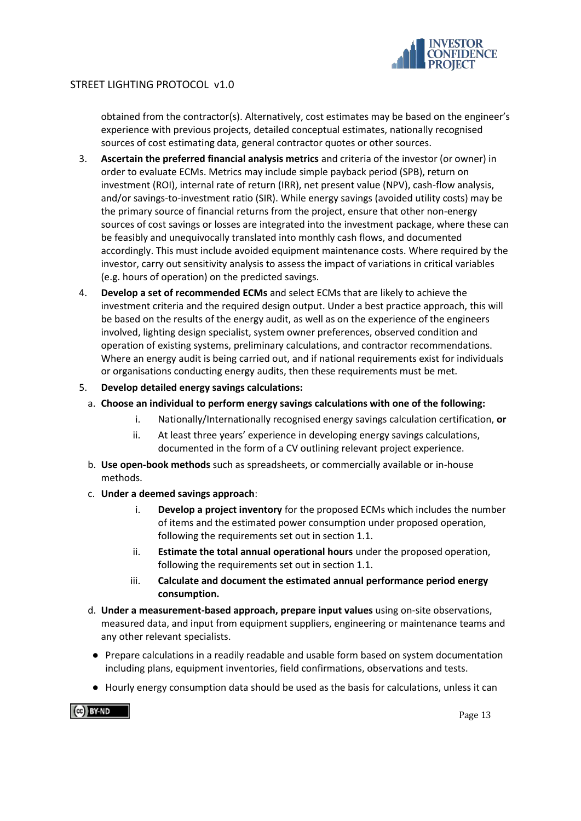

obtained from the contractor(s). Alternatively, cost estimates may be based on the engineer's experience with previous projects, detailed conceptual estimates, nationally recognised sources of cost estimating data, general contractor quotes or other sources.

- 3. **Ascertain the preferred financial analysis metrics** and criteria of the investor (or owner) in order to evaluate ECMs. Metrics may include simple payback period (SPB), return on investment (ROI), internal rate of return (IRR), net present value (NPV), cash-flow analysis, and/or savings-to-investment ratio (SIR). While energy savings (avoided utility costs) may be the primary source of financial returns from the project, ensure that other non-energy sources of cost savings or losses are integrated into the investment package, where these can be feasibly and unequivocally translated into monthly cash flows, and documented accordingly. This must include avoided equipment maintenance costs. Where required by the investor, carry out sensitivity analysis to assess the impact of variations in critical variables (e.g. hours of operation) on the predicted savings.
- 4. **Develop a set of recommended ECMs** and select ECMs that are likely to achieve the investment criteria and the required design output. Under a best practice approach, this will be based on the results of the energy audit, as well as on the experience of the engineers involved, lighting design specialist, system owner preferences, observed condition and operation of existing systems, preliminary calculations, and contractor recommendations. Where an energy audit is being carried out, and if national requirements exist for individuals or organisations conducting energy audits, then these requirements must be met.
- 5. **Develop detailed energy savings calculations:**
	- a. **Choose an individual to perform energy savings calculations with one of the following:**
		- i. Nationally/Internationally recognised energy savings calculation certification, **or**
		- ii. At least three years' experience in developing energy savings calculations, documented in the form of a CV outlining relevant project experience.
	- b. **Use open-book methods** such as spreadsheets, or commercially available or in-house methods.
	- c. **Under a deemed savings approach**:
		- i. **Develop a project inventory** for the proposed ECMs which includes the number of items and the estimated power consumption under proposed operation, following the requirements set out in section 1.1.
		- ii. **Estimate the total annual operational hours** under the proposed operation, following the requirements set out in section 1.1.
		- iii. **Calculate and document the estimated annual performance period energy consumption.**
	- d. **Under a measurement-based approach, prepare input values** using on-site observations, measured data, and input from equipment suppliers, engineering or maintenance teams and any other relevant specialists.
	- Prepare calculations in a readily readable and usable form based on system documentation including plans, equipment inventories, field confirmations, observations and tests.
	- Hourly energy consumption data should be used as the basis for calculations, unless it can

 $\left(\alpha\right)$  BY-ND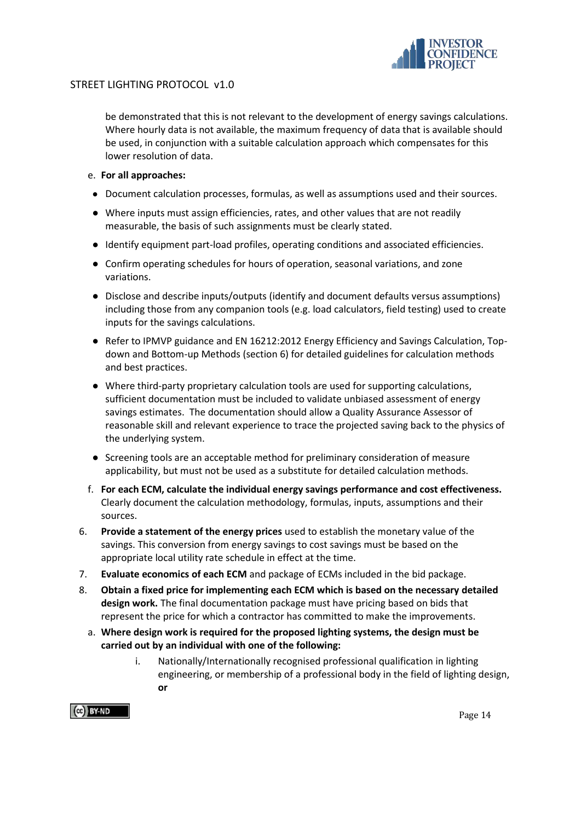

be demonstrated that this is not relevant to the development of energy savings calculations. Where hourly data is not available, the maximum frequency of data that is available should be used, in conjunction with a suitable calculation approach which compensates for this lower resolution of data.

#### e. **For all approaches:**

- Document calculation processes, formulas, as well as assumptions used and their sources.
- Where inputs must assign efficiencies, rates, and other values that are not readily measurable, the basis of such assignments must be clearly stated.
- Identify equipment part-load profiles, operating conditions and associated efficiencies.
- Confirm operating schedules for hours of operation, seasonal variations, and zone variations.
- Disclose and describe inputs/outputs (identify and document defaults versus assumptions) including those from any companion tools (e.g. load calculators, field testing) used to create inputs for the savings calculations.
- Refer to IPMVP guidance and EN 16212:2012 Energy Efficiency and Savings Calculation, Topdown and Bottom-up Methods (section 6) for detailed guidelines for calculation methods and best practices.
- Where third-party proprietary calculation tools are used for supporting calculations, sufficient documentation must be included to validate unbiased assessment of energy savings estimates. The documentation should allow a Quality Assurance Assessor of reasonable skill and relevant experience to trace the projected saving back to the physics of the underlying system.
- Screening tools are an acceptable method for preliminary consideration of measure applicability, but must not be used as a substitute for detailed calculation methods.
- f. **For each ECM, calculate the individual energy savings performance and cost effectiveness.** Clearly document the calculation methodology, formulas, inputs, assumptions and their sources.
- 6. **Provide a statement of the energy prices** used to establish the monetary value of the savings. This conversion from energy savings to cost savings must be based on the appropriate local utility rate schedule in effect at the time.
- 7. **Evaluate economics of each ECM** and package of ECMs included in the bid package.
- 8. **Obtain a fixed price for implementing each ECM which is based on the necessary detailed design work.** The final documentation package must have pricing based on bids that represent the price for which a contractor has committed to make the improvements.
	- a. **Where design work is required for the proposed lighting systems, the design must be carried out by an individual with one of the following:**
		- i. Nationally/Internationally recognised professional qualification in lighting engineering, or membership of a professional body in the field of lighting design, **or**

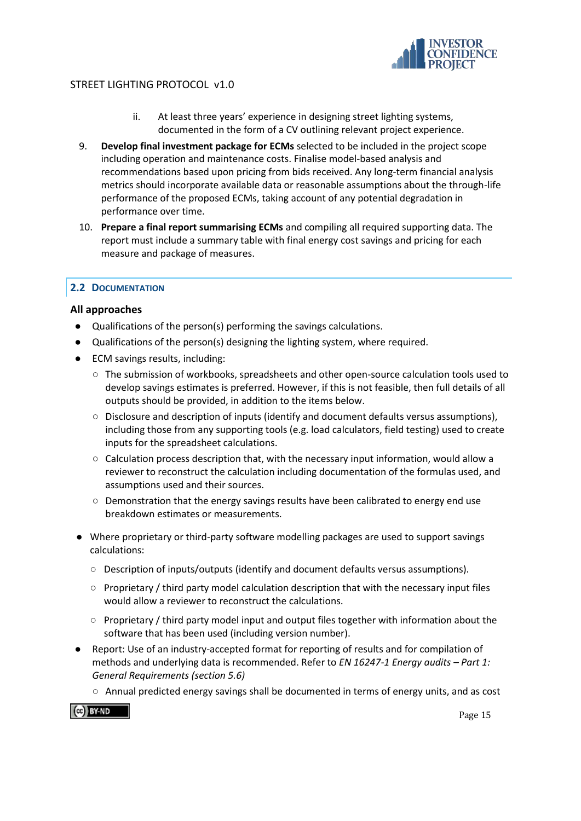

- ii. At least three years' experience in designing street lighting systems, documented in the form of a CV outlining relevant project experience.
- 9. **Develop final investment package for ECMs** selected to be included in the project scope including operation and maintenance costs. Finalise model-based analysis and recommendations based upon pricing from bids received. Any long-term financial analysis metrics should incorporate available data or reasonable assumptions about the through-life performance of the proposed ECMs, taking account of any potential degradation in performance over time.
- 10. **Prepare a final report summarising ECMs** and compiling all required supporting data. The report must include a summary table with final energy cost savings and pricing for each measure and package of measures.

# <span id="page-14-0"></span>**2.2 DOCUMENTATION**

## **All approaches**

- Qualifications of the person(s) performing the savings calculations.
- Qualifications of the person(s) designing the lighting system, where required.
- ECM savings results, including:
	- $\circ$  The submission of workbooks, spreadsheets and other open-source calculation tools used to develop savings estimates is preferred. However, if this is not feasible, then full details of all outputs should be provided, in addition to the items below.
	- Disclosure and description of inputs (identify and document defaults versus assumptions), including those from any supporting tools (e.g. load calculators, field testing) used to create inputs for the spreadsheet calculations.
	- $\circ$  Calculation process description that, with the necessary input information, would allow a reviewer to reconstruct the calculation including documentation of the formulas used, and assumptions used and their sources.
	- Demonstration that the energy savings results have been calibrated to energy end use breakdown estimates or measurements.
- Where proprietary or third-party software modelling packages are used to support savings calculations:
	- Description of inputs/outputs (identify and document defaults versus assumptions).
	- Proprietary / third party model calculation description that with the necessary input files would allow a reviewer to reconstruct the calculations.
	- Proprietary / third party model input and output files together with information about the software that has been used (including version number).
- Report: Use of an industry-accepted format for reporting of results and for compilation of methods and underlying data is recommended. Refer to *EN 16247-1 Energy audits – Part 1: General Requirements (section 5.6)* 
	- Annual predicted energy savings shall be documented in terms of energy units, and as cost

 $\left[\begin{matrix} 60 \\ 401 \end{matrix}\right]$  BY-ND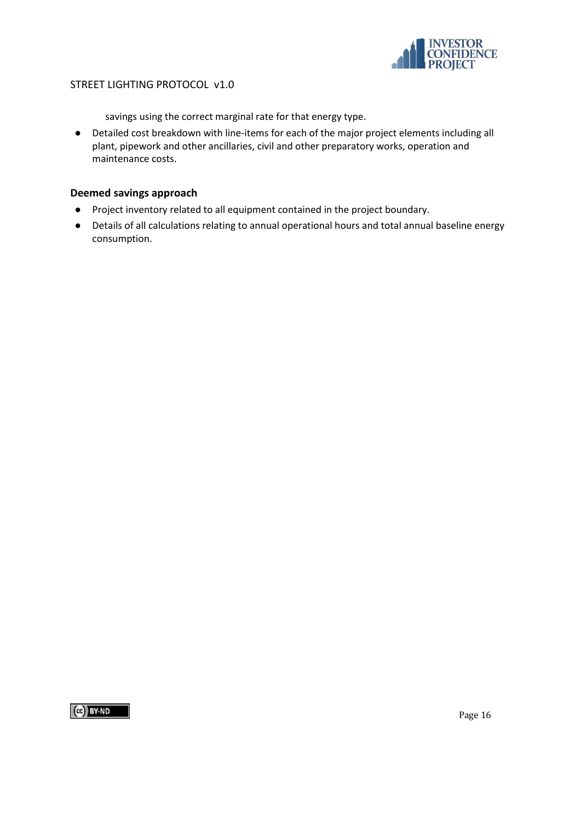

savings using the correct marginal rate for that energy type.

● Detailed cost breakdown with line-items for each of the major project elements including all plant, pipework and other ancillaries, civil and other preparatory works, operation and maintenance costs.

## **Deemed savings approach**

- Project inventory related to all equipment contained in the project boundary.
- Details of all calculations relating to annual operational hours and total annual baseline energy consumption.

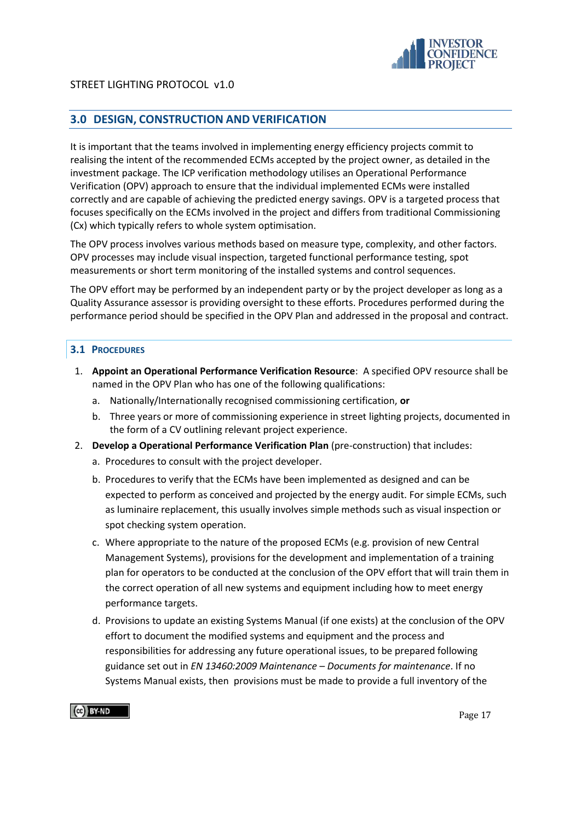

# <span id="page-16-0"></span>**3.0 DESIGN, CONSTRUCTION AND VERIFICATION**

It is important that the teams involved in implementing energy efficiency projects commit to realising the intent of the recommended ECMs accepted by the project owner, as detailed in the investment package. The ICP verification methodology utilises an Operational Performance Verification (OPV) approach to ensure that the individual implemented ECMs were installed correctly and are capable of achieving the predicted energy savings. OPV is a targeted process that focuses specifically on the ECMs involved in the project and differs from traditional Commissioning (Cx) which typically refers to whole system optimisation.

The OPV process involves various methods based on measure type, complexity, and other factors. OPV processes may include visual inspection, targeted functional performance testing, spot measurements or short term monitoring of the installed systems and control sequences.

The OPV effort may be performed by an independent party or by the project developer as long as a Quality Assurance assessor is providing oversight to these efforts. Procedures performed during the performance period should be specified in the OPV Plan and addressed in the proposal and contract.

## <span id="page-16-1"></span>**3.1 PROCEDURES**

- 1. **Appoint an Operational Performance Verification Resource**: A specified OPV resource shall be named in the OPV Plan who has one of the following qualifications:
	- a. Nationally/Internationally recognised commissioning certification, **or**
	- b. Three years or more of commissioning experience in street lighting projects, documented in the form of a CV outlining relevant project experience.
- 2. **Develop a Operational Performance Verification Plan** (pre-construction) that includes:
	- a. Procedures to consult with the project developer.
	- b. Procedures to verify that the ECMs have been implemented as designed and can be expected to perform as conceived and projected by the energy audit. For simple ECMs, such as luminaire replacement, this usually involves simple methods such as visual inspection or spot checking system operation.
	- c. Where appropriate to the nature of the proposed ECMs (e.g. provision of new Central Management Systems), provisions for the development and implementation of a training plan for operators to be conducted at the conclusion of the OPV effort that will train them in the correct operation of all new systems and equipment including how to meet energy performance targets.
	- d. Provisions to update an existing Systems Manual (if one exists) at the conclusion of the OPV effort to document the modified systems and equipment and the process and responsibilities for addressing any future operational issues, to be prepared following guidance set out in *[E](http://www.techstreet.com/products/1852923?product_id=1852923&sid=goog&gclid=CNzIydS08bYCFaaDQgodij0AvA)N 13460:2009 Maintenance – Documents for maintenance*. If no Systems Manual exists, then provisions must be made to provide a full inventory of the

 $\left(\begin{matrix} 1 \\ 1 \end{matrix}\right)$  BY-ND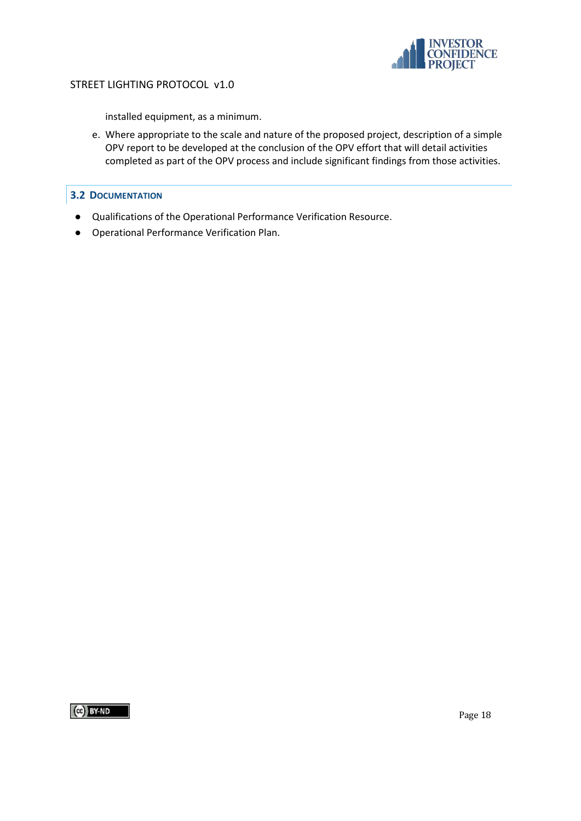

installed equipment, as a minimum.

e. Where appropriate to the scale and nature of the proposed project, description of a simple OPV report to be developed at the conclusion of the OPV effort that will detail activities completed as part of the OPV process and include significant findings from those activities.

## <span id="page-17-0"></span>**3.2 DOCUMENTATION**

- Qualifications of the Operational Performance Verification Resource.
- Operational Performance Verification Plan.

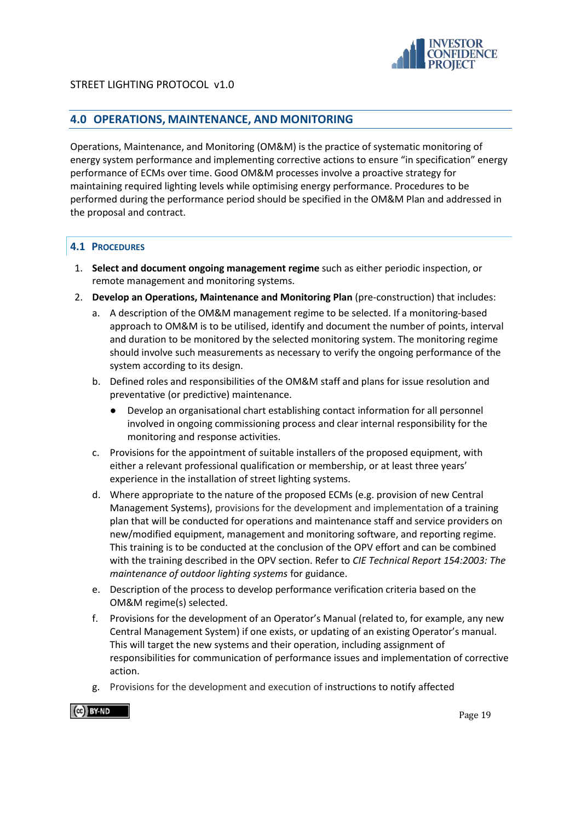

# <span id="page-18-0"></span>**4.0 OPERATIONS, MAINTENANCE, AND MONITORING**

Operations, Maintenance, and Monitoring (OM&M) is the practice of systematic monitoring of energy system performance and implementing corrective actions to ensure "in specification" energy performance of ECMs over time. Good OM&M processes involve a proactive strategy for maintaining required lighting levels while optimising energy performance. Procedures to be performed during the performance period should be specified in the OM&M Plan and addressed in the proposal and contract.

# <span id="page-18-1"></span>**4.1 PROCEDURES**

- 1. **Select and document ongoing management regime** such as either periodic inspection, or remote management and monitoring systems.
- 2. **Develop an Operations, Maintenance and Monitoring Plan** (pre-construction) that includes:
	- a. A description of the OM&M management regime to be selected. If a monitoring-based approach to OM&M is to be utilised, identify and document the number of points, interval and duration to be monitored by the selected monitoring system. The monitoring regime should involve such measurements as necessary to verify the ongoing performance of the system according to its design.
	- b. Defined roles and responsibilities of the OM&M staff and plans for issue resolution and preventative (or predictive) maintenance.
		- Develop an organisational chart establishing contact information for all personnel involved in ongoing commissioning process and clear internal responsibility for the monitoring and response activities.
	- c. Provisions for the appointment of suitable installers of the proposed equipment, with either a relevant professional qualification or membership, or at least three years' experience in the installation of street lighting systems.
	- d. Where appropriate to the nature of the proposed ECMs (e.g. provision of new Central Management Systems), provisions for the development and implementation of a training plan that will be conducted for operations and maintenance staff and service providers on new/modified equipment, management and monitoring software, and reporting regime. This training is to be conducted at the conclusion of the OPV effort and can be combined with the training described in the OPV section. Refer to *CIE Technical Report 154:2003: The maintenance of outdoor lighting systems* for guidance.
	- e. Description of the process to develop performance verification criteria based on the OM&M regime(s) selected.
	- f. Provisions for the development of an Operator's Manual (related to, for example, any new Central Management System) if one exists, or updating of an existing Operator's manual. This will target the new systems and their operation, including assignment of responsibilities for communication of performance issues and implementation of corrective action.
	- g. Provisions for the development and execution of instructions to notify affected

 $\left(\alpha\right)$  BY-ND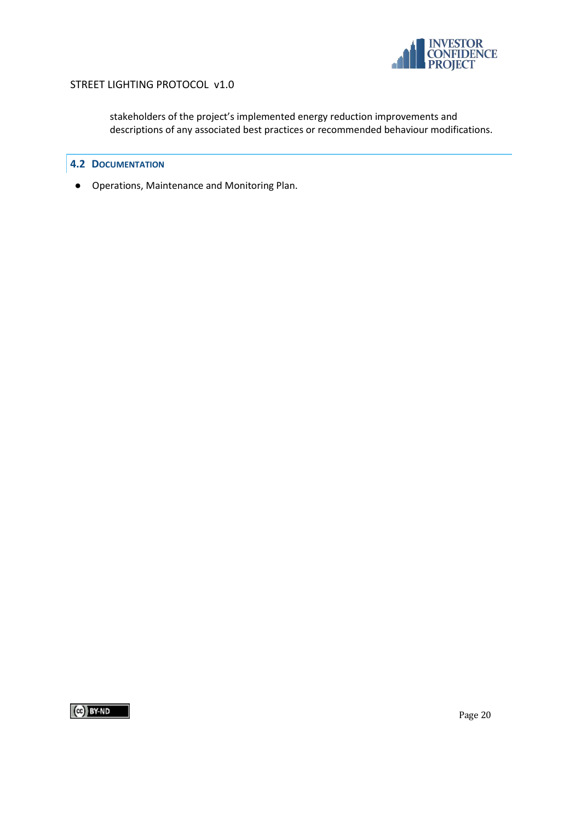

stakeholders of the project's implemented energy reduction improvements and descriptions of any associated best practices or recommended behaviour modifications.

## <span id="page-19-0"></span>**4.2 DOCUMENTATION**

● Operations, Maintenance and Monitoring Plan.

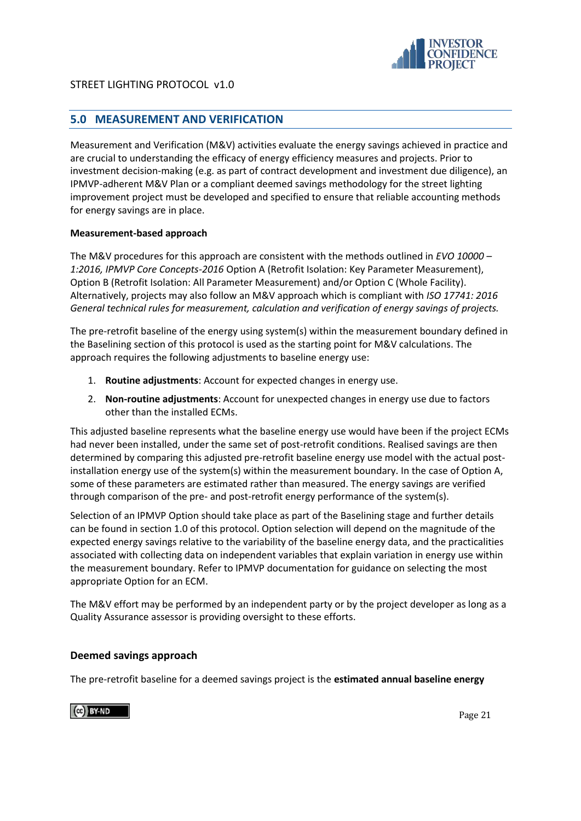

# <span id="page-20-0"></span>**5.0 MEASUREMENT AND VERIFICATION**

Measurement and Verification (M&V) activities evaluate the energy savings achieved in practice and are crucial to understanding the efficacy of energy efficiency measures and projects. Prior to investment decision-making (e.g. as part of contract development and investment due diligence), an IPMVP-adherent M&V Plan or a compliant deemed savings methodology for the street lighting improvement project must be developed and specified to ensure that reliable accounting methods for energy savings are in place.

## **Measurement-based approach**

The M&V procedures for this approach are consistent with the methods outlined in *EVO 10000 – 1:2016, IPMVP Core Concepts-2016* Option A (Retrofit Isolation: Key Parameter Measurement), Option B (Retrofit Isolation: All Parameter Measurement) and/or Option C (Whole Facility). Alternatively, projects may also follow an M&V approach which is compliant with *ISO 17741: 2016 General technical rules for measurement, calculation and verification of energy savings of projects.* 

The pre-retrofit baseline of the energy using system(s) within the measurement boundary defined in the Baselining section of this protocol is used as the starting point for M&V calculations. The approach requires the following adjustments to baseline energy use:

- 1. **Routine adjustments**: Account for expected changes in energy use.
- 2. **Non-routine adjustments**: Account for unexpected changes in energy use due to factors other than the installed ECMs.

This adjusted baseline represents what the baseline energy use would have been if the project ECMs had never been installed, under the same set of post-retrofit conditions. Realised savings are then determined by comparing this adjusted pre-retrofit baseline energy use model with the actual postinstallation energy use of the system(s) within the measurement boundary. In the case of Option A, some of these parameters are estimated rather than measured. The energy savings are verified through comparison of the pre- and post-retrofit energy performance of the system(s).

Selection of an IPMVP Option should take place as part of the Baselining stage and further details can be found in section 1.0 of this protocol. Option selection will depend on the magnitude of the expected energy savings relative to the variability of the baseline energy data, and the practicalities associated with collecting data on independent variables that explain variation in energy use within the measurement boundary. Refer to IPMVP documentation for guidance on selecting the most appropriate Option for an ECM.

The M&V effort may be performed by an independent party or by the project developer as long as a Quality Assurance assessor is providing oversight to these efforts.

## **Deemed savings approach**

The pre-retrofit baseline for a deemed savings project is the **estimated annual baseline energy** 

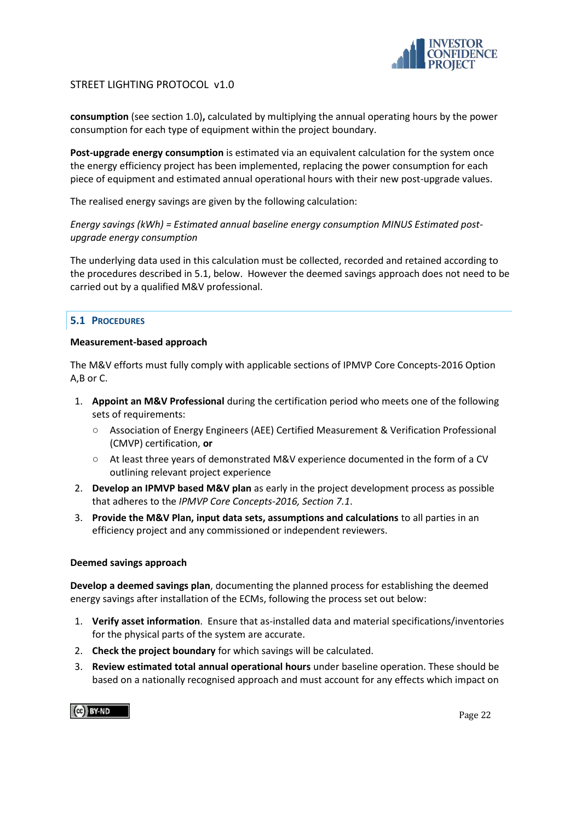

**consumption** (see section 1.0)**,** calculated by multiplying the annual operating hours by the power consumption for each type of equipment within the project boundary.

**Post-upgrade energy consumption** is estimated via an equivalent calculation for the system once the energy efficiency project has been implemented, replacing the power consumption for each piece of equipment and estimated annual operational hours with their new post-upgrade values.

The realised energy savings are given by the following calculation:

*Energy savings (kWh) = Estimated annual baseline energy consumption MINUS Estimated postupgrade energy consumption*

The underlying data used in this calculation must be collected, recorded and retained according to the procedures described in 5.1, below. However the deemed savings approach does not need to be carried out by a qualified M&V professional.

# <span id="page-21-0"></span>**5.1 PROCEDURES**

#### **Measurement-based approach**

The M&V efforts must fully comply with applicable sections of IPMVP Core Concepts-2016 Option A,B or C.

- 1. **Appoint an M&V Professional** during the certification period who meets one of the following sets of requirements:
	- Association of Energy Engineers (AEE) Certified Measurement & Verification Professional (CMVP) certification, **or**
	- At least three years of demonstrated M&V experience documented in the form of a CV outlining relevant project experience
- 2. **Develop an IPMVP based M&V plan** as early in the project development process as possible that adheres to the *IPMVP Core Concepts-2016, Section 7.1*.
- 3. **Provide the M&V Plan, input data sets, assumptions and calculations** to all parties in an efficiency project and any commissioned or independent reviewers.

#### **Deemed savings approach**

**Develop a deemed savings plan**, documenting the planned process for establishing the deemed energy savings after installation of the ECMs, following the process set out below:

- 1. **Verify asset information**. Ensure that as-installed data and material specifications/inventories for the physical parts of the system are accurate.
- 2. **Check the project boundary** for which savings will be calculated.
- 3. **Review estimated total annual operational hours** under baseline operation. These should be based on a nationally recognised approach and must account for any effects which impact on

 $\left[\begin{matrix} 60 \\ 401 \end{matrix}\right]$  BY-ND